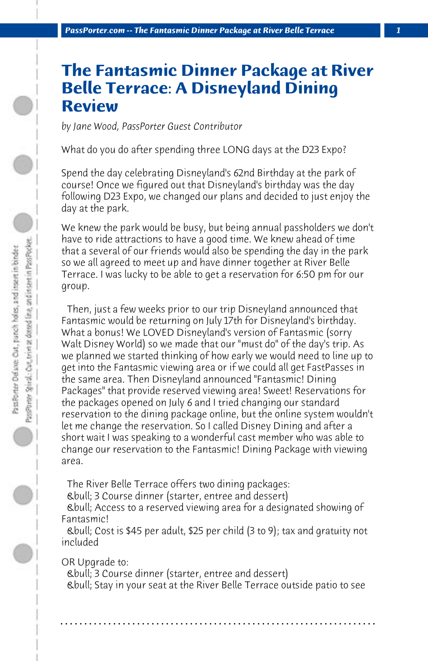## **The Fantasmic Dinner Package at River Belle Terrace: A Disneyland Dining Review**

*by Jane Wood, PassPorter Guest Contributor*

What do you do after spending three LONG days at the D23 Expo?

Spend the day celebrating Disneyland's 62nd Birthday at the park of course! Once we figured out that Disneyland's birthday was the day following D23 Expo, we changed our plans and decided to just enjoy the day at the park.

We knew the park would be busy, but being annual passholders we don't have to ride attractions to have a good time. We knew ahead of time that a several of our friends would also be spending the day in the park so we all agreed to meet up and have dinner together at River Belle Terrace. I was lucky to be able to get a reservation for 6:50 pm for our group.

 Then, just a few weeks prior to our trip Disneyland announced that Fantasmic would be returning on July 17th for Disneyland's birthday. What a bonus! We LOVED Disneyland's version of Fantasmic (sorry Walt Disney World) so we made that our "must do" of the day's trip. As we planned we started thinking of how early we would need to line up to get into the Fantasmic viewing area or if we could all get FastPasses in the same area. Then Disneyland announced "Fantasmic! Dining Packages" that provide reserved viewing area! Sweet! Reservations for the packages opened on July 6 and I tried changing our standard reservation to the dining package online, but the online system wouldn't let me change the reservation. So I called Disney Dining and after a short wait I was speaking to a wonderful cast member who was able to change our reservation to the Fantasmic! Dining Package with viewing area.

 The River Belle Terrace offers two dining packages:

 • 3 Course dinner (starter, entree and dessert)

 • Access to a reserved viewing area for a designated showing of Fantasmic!

 • Cost is \$45 per adult, \$25 per child (3 to 9); tax and gratuity not included

OR Upgrade to:

 • 3 Course dinner (starter, entree and dessert) • Stay in your seat at the River Belle Terrace outside patio to see

**. . . . . . . . . . . . . . . . . . . . . . . . . . . . . . . . . . . . . . . . . . . . . . . . . . . . . . . . . . . . . . . . . .**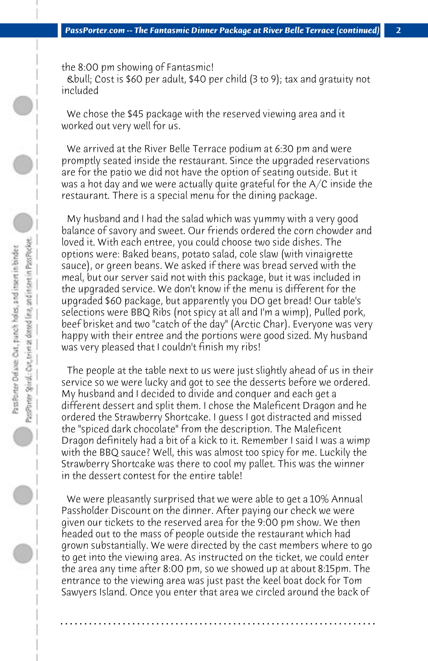the 8:00 pm showing of Fantasmic!

 • Cost is \$60 per adult, \$40 per child (3 to 9); tax and gratuity not included

 We chose the \$45 package with the reserved viewing area and it worked out very well for us.

 We arrived at the River Belle Terrace podium at 6:30 pm and were promptly seated inside the restaurant. Since the upgraded reservations are for the patio we did not have the option of seating outside. But it was a hot day and we were actually quite grateful for the A/C inside the restaurant. There is a special menu for the dining package.

 My husband and I had the salad which was yummy with a very good balance of savory and sweet. Our friends ordered the corn chowder and loved it. With each entree, you could choose two side dishes. The options were: Baked beans, potato salad, cole slaw (with vinaigrette sauce), or green beans. We asked if there was bread served with the meal, but our server said not with this package, but it was included in the upgraded service. We don't know if the menu is different for the upgraded \$60 package, but apparently you DO get bread! Our table's selections were BBQ Ribs (not spicy at all and I'm a wimp), Pulled pork, beef brisket and two "catch of the day" (Arctic Char). Everyone was very happy with their entree and the portions were good sized. My husband was very pleased that I couldn't finish my ribs!

 The people at the table next to us were just slightly ahead of us in their service so we were lucky and got to see the desserts before we ordered. My husband and I decided to divide and conquer and each get a different dessert and split them. I chose the Maleficent Dragon and he ordered the Strawberry Shortcake. I guess I got distracted and missed the "spiced dark chocolate" from the description. The Maleficent Dragon definitely had a bit of a kick to it. Remember I said I was a wimp with the BBQ sauce? Well, this was almost too spicy for me. Luckily the Strawberry Shortcake was there to cool my pallet. This was the winner in the dessert contest for the entire table!

 We were pleasantly surprised that we were able to get a 10% Annual Passholder Discount on the dinner. After paying our check we were given our tickets to the reserved area for the 9:00 pm show. We then headed out to the mass of people outside the restaurant which had grown substantially. We were directed by the cast members where to go to get into the viewing area. As instructed on the ticket, we could enter the area any time after 8:00 pm, so we showed up at about 8:15pm. The entrance to the viewing area was just past the keel boat dock for Tom Sawyers Island. Once you enter that area we circled around the back of

**. . . . . . . . . . . . . . . . . . . . . . . . . . . . . . . . . . . . . . . . . . . . . . . . . . . . . . . . . . . . . . . . . .**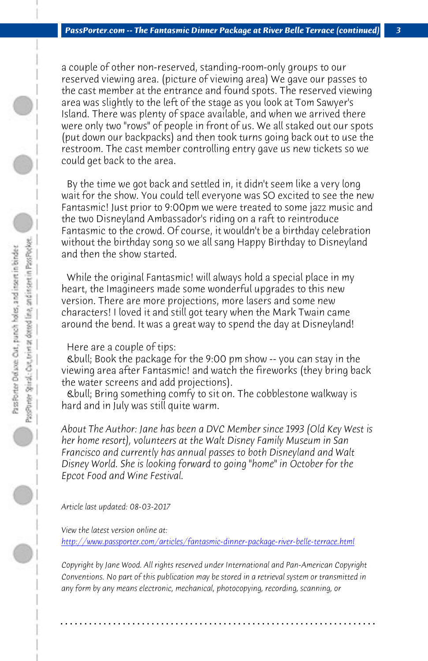*PassPorter.com -- The Fantasmic Dinner Package at River Belle Terrace (continued) 3*

a couple of other non-reserved, standing-room-only groups to our reserved viewing area. (picture of viewing area) We gave our passes to the cast member at the entrance and found spots. The reserved viewing area was slightly to the left of the stage as you look at Tom Sawyer's Island. There was plenty of space available, and when we arrived there were only two "rows" of people in front of us. We all staked out our spots (put down our backpacks) and then took turns going back out to use the restroom. The cast member controlling entry gave us new tickets so we could get back to the area.

 By the time we got back and settled in, it didn't seem like a very long wait for the show. You could tell everyone was SO excited to see the new Fantasmic! Just prior to 9:00pm we were treated to some jazz music and the two Disneyland Ambassador's riding on a raft to reintroduce Fantasmic to the crowd. Of course, it wouldn't be a birthday celebration without the birthday song so we all sang Happy Birthday to Disneyland and then the show started.

 While the original Fantasmic! will always hold a special place in my heart, the Imagineers made some wonderful upgrades to this new version. There are more projections, more lasers and some new characters! I loved it and still got teary when the Mark Twain came around the bend. It was a great way to spend the day at Disneyland!

## [Here are a couple of tips:](http://www.passporter.com/articles/fantasmic-dinner-package-river-belle-terrace.php)

 • Book the package for the 9:00 pm show -- you can stay in the viewing area after Fantasmic! and watch the fireworks (they bring back the water screens and add projections).

 • Bring something comfy to sit on. The cobblestone walkway is hard and in July was still quite warm.

*About The Author: Jane has been a DVC Member since 1993 (Old Key West is her home resort), volunteers at the Walt Disney Family Museum in San Francisco and currently has annual passes to both Disneyland and Walt Disney World. She is looking forward to going "home" in October for the Epcot Food and Wine Festival.*

*Article last updated: 08-03-2017*

*View the latest version online at:* 

*http://www.passporter.com/articles/fantasmic-dinner-package-river-belle-terrace.html*

*Copyright by Jane Wood. All rights reserved under International and Pan-American Copyright Conventions. No part of this publication may be stored in a retrieval system or transmitted in any form by any means electronic, mechanical, photocopying, recording, scanning, or*

**. . . . . . . . . . . . . . . . . . . . . . . . . . . . . . . . . . . . . . . . . . . . . . . . . . . . . . . . . . . . . . . . . .**